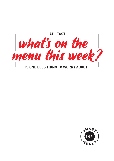